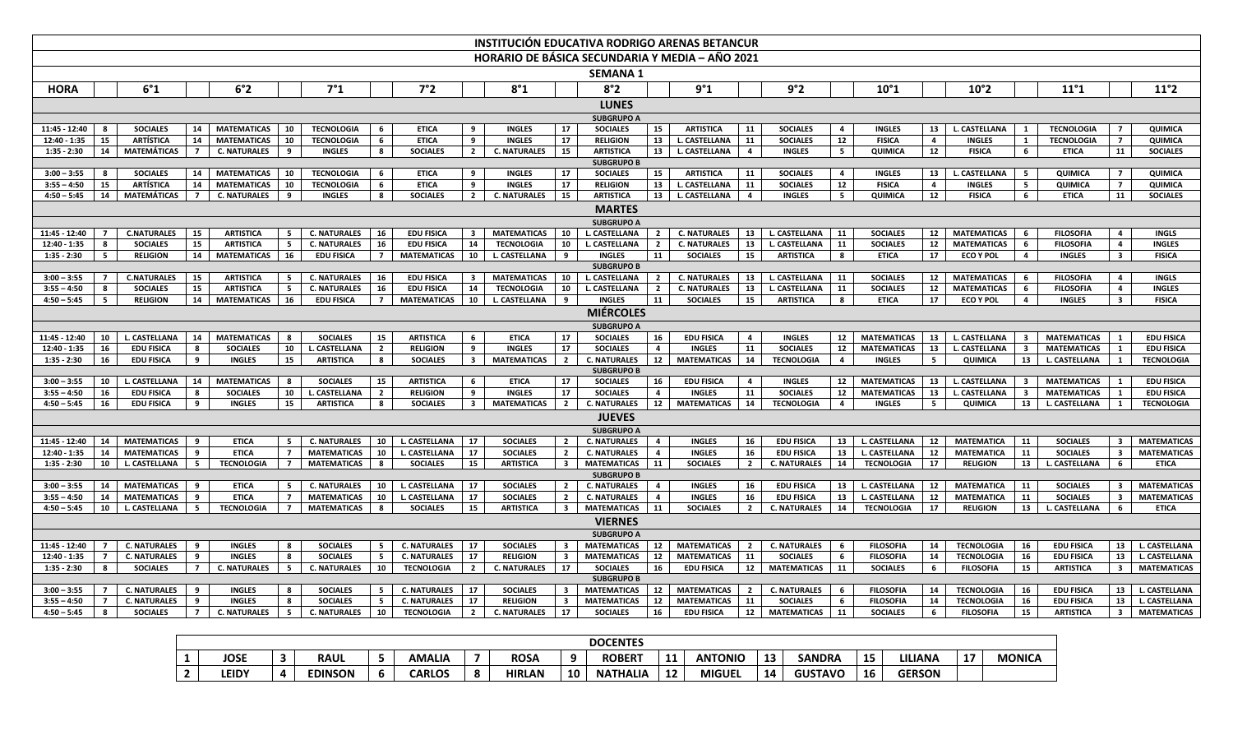|                               |                                                                                                                                                                                                                                                                                                                                                                                                                     |                                    |                |                                       |                 |                                   |                      |                                     |                         |                               |                         | <b>INSTITUCIÓN EDUCATIVA RODRIGO ARENAS BETANCUR</b> |                               |                                    |                |                                  |                         |                                          |                         |                                |                               |                                          |                         |                                        |
|-------------------------------|---------------------------------------------------------------------------------------------------------------------------------------------------------------------------------------------------------------------------------------------------------------------------------------------------------------------------------------------------------------------------------------------------------------------|------------------------------------|----------------|---------------------------------------|-----------------|-----------------------------------|----------------------|-------------------------------------|-------------------------|-------------------------------|-------------------------|------------------------------------------------------|-------------------------------|------------------------------------|----------------|----------------------------------|-------------------------|------------------------------------------|-------------------------|--------------------------------|-------------------------------|------------------------------------------|-------------------------|----------------------------------------|
|                               | HORARIO DE BÁSICA SECUNDARIA Y MEDIA - AÑO 2021                                                                                                                                                                                                                                                                                                                                                                     |                                    |                |                                       |                 |                                   |                      |                                     |                         |                               |                         |                                                      |                               |                                    |                |                                  |                         |                                          |                         |                                |                               |                                          |                         |                                        |
|                               |                                                                                                                                                                                                                                                                                                                                                                                                                     |                                    |                |                                       |                 |                                   |                      |                                     |                         |                               |                         | <b>SEMANA 1</b>                                      |                               |                                    |                |                                  |                         |                                          |                         |                                |                               |                                          |                         |                                        |
| <b>HORA</b>                   | 6°1<br>6°2<br>7°1<br>7°2<br>8°1<br>8°2<br>9°1<br>9°2<br>$10^{\circ}1$<br>10°2<br>11°1<br>11°2                                                                                                                                                                                                                                                                                                                       |                                    |                |                                       |                 |                                   |                      |                                     |                         |                               |                         |                                                      |                               |                                    |                |                                  |                         |                                          |                         |                                |                               |                                          |                         |                                        |
|                               |                                                                                                                                                                                                                                                                                                                                                                                                                     |                                    |                |                                       |                 |                                   |                      |                                     |                         |                               |                         | <b>LUNES</b>                                         |                               |                                    |                |                                  |                         |                                          |                         |                                |                               |                                          |                         |                                        |
|                               | <b>SUBGRUPO A</b>                                                                                                                                                                                                                                                                                                                                                                                                   |                                    |                |                                       |                 |                                   |                      |                                     |                         |                               |                         |                                                      |                               |                                    |                |                                  |                         |                                          |                         |                                |                               |                                          |                         |                                        |
| 11:45 - 12:40                 | - 8                                                                                                                                                                                                                                                                                                                                                                                                                 | <b>SOCIALES</b>                    | 14             | <b>MATEMATICAS</b>                    | 10              | <b>TECNOLOGIA</b>                 | 6                    | <b>ETICA</b>                        | 9                       | <b>INGLES</b>                 | 17                      | <b>SOCIALES</b>                                      | 15                            | <b>ARTISTICA</b>                   | 11             | <b>SOCIALES</b>                  | 4                       | <b>INGLES</b>                            | 13                      | L. CASTELLANA                  | $\mathbf{1}$                  | <b>TECNOLOGIA</b>                        |                         | QUIMICA                                |
| $12:40 - 1:35$                | 15                                                                                                                                                                                                                                                                                                                                                                                                                  | <b>ARTÍSTICA</b>                   | 14             | <b>MATEMATICAS</b>                    | 10              | <b>TECNOLOGIA</b>                 | 6                    | <b>ETICA</b>                        | 9                       | <b>INGLES</b>                 | 17                      | <b>RELIGION</b>                                      | 13                            | L. CASTELLANA                      | 11             | <b>SOCIALES</b>                  | $\overline{12}$         | <b>FISICA</b>                            | $\overline{\mathbf{4}}$ | <b>INGLES</b>                  | $\mathbf{1}$                  | <b>TECNOLOGIA</b>                        | $\overline{ }$          | QUIMICA                                |
| $1:35 - 2:30$                 | 14                                                                                                                                                                                                                                                                                                                                                                                                                  | <b>MATEMÁTICAS</b>                 | $\overline{7}$ | <b>C. NATURALES</b>                   | 9               | <b>INGLES</b>                     | 8                    | <b>SOCIALES</b>                     | $\overline{2}$          | <b>C. NATURALES</b>           | 15                      | <b>ARTISTICA</b>                                     | 13                            | <b>L. CASTELLANA</b>               | $\overline{4}$ | <b>INGLES</b>                    | 5 <sub>5</sub>          | QUIMICA                                  | 12                      | <b>FISICA</b>                  | 6                             | <b>ETICA</b>                             | 11                      | <b>SOCIALES</b>                        |
|                               | <b>SUBGRUPO B</b>                                                                                                                                                                                                                                                                                                                                                                                                   |                                    |                |                                       |                 |                                   |                      |                                     |                         |                               |                         |                                                      |                               |                                    |                |                                  |                         |                                          |                         |                                |                               |                                          |                         |                                        |
| $3:00 - 3:55$                 | - 8                                                                                                                                                                                                                                                                                                                                                                                                                 | <b>SOCIALES</b>                    | 14             | <b>MATEMATICAS</b>                    | 10              | <b>TECNOLOGIA</b>                 | 6                    | <b>ETICA</b>                        | 9                       | <b>INGLES</b>                 | 17                      | <b>SOCIALES</b>                                      | 15                            | <b>ARTISTICA</b>                   | 11             | <b>SOCIALES</b>                  | $\overline{\mathbf{4}}$ | <b>INGLES</b>                            | 13                      | L. CASTELLANA                  | 5                             | QUIMICA                                  | $\overline{7}$          | QUIMICA                                |
| $3:55 - 4:50$                 | 15                                                                                                                                                                                                                                                                                                                                                                                                                  | <b>ARTÍSTICA</b>                   | 14             | <b>MATEMATICAS</b>                    | 10              | <b>TECNOLOGIA</b>                 | 6                    | <b>ETICA</b>                        | 9                       | <b>INGLES</b>                 | 17                      | <b>RELIGION</b>                                      | 13                            | L. CASTELLANA                      | 11             | <b>SOCIALES</b>                  | 12                      | <b>FISICA</b>                            | $\overline{4}$          | <b>INGLES</b>                  | 5                             | QUIMICA                                  | $\overline{7}$          | QUIMICA                                |
| $4:50 - 5:45$                 | 14                                                                                                                                                                                                                                                                                                                                                                                                                  | MATEMÁTICAS                        | $\overline{7}$ | <b>C. NATURALES</b>                   | 9               | <b>INGLES</b>                     | 8                    | <b>SOCIALES</b>                     | $\overline{2}$          | <b>C. NATURALES</b>           | 15                      | <b>ARTISTICA</b>                                     |                               | 13 L. CASTELLANA                   | $\overline{4}$ | <b>INGLES</b>                    | 5                       | QUIMICA                                  | 12                      | <b>FISICA</b>                  | 6                             | <b>ETICA</b>                             | 11                      | <b>SOCIALES</b>                        |
|                               | <b>MARTES</b>                                                                                                                                                                                                                                                                                                                                                                                                       |                                    |                |                                       |                 |                                   |                      |                                     |                         |                               |                         |                                                      |                               |                                    |                |                                  |                         |                                          |                         |                                |                               |                                          |                         |                                        |
|                               | <b>SUBGRUPO A</b>                                                                                                                                                                                                                                                                                                                                                                                                   |                                    |                |                                       |                 |                                   |                      |                                     |                         |                               |                         |                                                      |                               |                                    |                |                                  |                         |                                          |                         |                                |                               |                                          |                         |                                        |
| 11:45 - 12:40                 |                                                                                                                                                                                                                                                                                                                                                                                                                     | <b>C.NATURALES</b>                 | 15             | <b>ARTISTICA</b>                      | 5               | <b>C. NATURALES</b>               | 16                   | <b>EDU FISICA</b>                   | $\mathbf{3}$            | <b>MATEMATICAS</b>            | 10                      | L. CASTELLANA                                        | $\overline{2}$                | <b>C. NATURALES</b>                | 13             | L. CASTELLANA                    | 11                      | <b>SOCIALES</b>                          | $12$                    | <b>MATEMATICAS</b>             | - 6                           | <b>FILOSOFIA</b>                         | $\overline{4}$          | <b>INGLS</b>                           |
| 12:40 - 1:35                  | -8                                                                                                                                                                                                                                                                                                                                                                                                                  | <b>SOCIALES</b>                    | 15             | <b>ARTISTICA</b>                      | 5               | <b>C. NATURALES</b>               | 16                   | <b>EDU FISICA</b>                   | 14                      | <b>TECNOLOGIA</b>             | 10                      | L. CASTELLANA                                        | $\overline{2}$                | <b>C. NATURALES</b>                | 13             | L. CASTELLANA                    | 11                      | <b>SOCIALES</b>                          | 12                      | <b>MATEMATICAS</b>             | 6                             | <b>FILOSOFIA</b>                         | 4                       | <b>INGLES</b>                          |
| $1:35 - 2:30$                 | 5                                                                                                                                                                                                                                                                                                                                                                                                                   | <b>RELIGION</b>                    | 14             | <b>MATEMATICAS</b>                    | 16              | <b>EDU FISICA</b>                 | $\overline{7}$       | <b>MATEMATICAS</b>                  | 10                      | L. CASTELLANA                 | 9                       | <b>INGLES</b>                                        | 11                            | <b>SOCIALES</b>                    | 15             | <b>ARTISTICA</b>                 | 8                       | <b>ETICA</b>                             | 17                      | <b>ECO Y POL</b>               | $\overline{4}$                | <b>INGLES</b>                            | $\overline{\mathbf{3}}$ | <b>FISICA</b>                          |
|                               | <b>SUBGRUPO B</b><br><b>C.NATURALES</b><br>15<br><b>ARTISTICA</b><br><b>C. NATURALES</b><br><b>EDU FISICA</b><br><b>MATEMATICAS</b><br>10<br><b>C. NATURALES</b><br>L. CASTELLANA<br><b>SOCIALES</b><br>12<br><b>MATEMATICAS</b><br><b>FILOSOFIA</b><br>$3:00 - 3:55$<br>5<br>16<br>L. CASTELLANA<br>$\overline{2}$<br>13<br>11<br>$\overline{4}$<br><b>INGLS</b><br>$\overline{\mathbf{3}}$<br>6<br>$\overline{7}$ |                                    |                |                                       |                 |                                   |                      |                                     |                         |                               |                         |                                                      |                               |                                    |                |                                  |                         |                                          |                         |                                |                               |                                          |                         |                                        |
|                               |                                                                                                                                                                                                                                                                                                                                                                                                                     |                                    |                |                                       |                 |                                   |                      |                                     |                         |                               |                         |                                                      |                               |                                    |                |                                  |                         |                                          |                         |                                |                               |                                          |                         |                                        |
| $3:55 - 4:50$                 | -8                                                                                                                                                                                                                                                                                                                                                                                                                  | <b>SOCIALES</b>                    | 15             | <b>ARTISTICA</b>                      | $5\overline{5}$ | <b>C. NATURALES</b>               | 16                   | <b>EDU FISICA</b>                   | 14                      | <b>TECNOLOGIA</b>             | 10 <sub>1</sub>         | L. CASTELLANA                                        | $\overline{2}$                | <b>C. NATURALES</b>                | 13             | L. CASTELLANA                    | 11                      | <b>SOCIALES</b>                          | ${\bf 12}$              | <b>MATEMATICAS</b>             | 6                             | <b>FILOSOFIA</b>                         | $\overline{a}$          | <b>INGLES</b>                          |
|                               | 14<br>16<br>10<br>9<br>11<br>17<br>$4:50 - 5:45$<br>5<br><b>RELIGION</b><br><b>MATEMATICAS</b><br><b>EDU FISICA</b><br>$\overline{7}$<br><b>MATEMATICAS</b><br>L. CASTELLANA<br><b>INGLES</b><br><b>SOCIALES</b><br>15<br><b>ARTISTICA</b><br>8<br><b>ETICA</b><br><b>ECO Y POL</b><br>$\overline{4}$<br><b>INGLES</b><br>$\overline{\mathbf{3}}$<br><b>FISICA</b>                                                  |                                    |                |                                       |                 |                                   |                      |                                     |                         |                               |                         |                                                      |                               |                                    |                |                                  |                         |                                          |                         |                                |                               |                                          |                         |                                        |
| <b>MIÉRCOLES</b>              |                                                                                                                                                                                                                                                                                                                                                                                                                     |                                    |                |                                       |                 |                                   |                      |                                     |                         |                               |                         |                                                      |                               |                                    |                |                                  |                         |                                          |                         |                                |                               |                                          |                         |                                        |
|                               |                                                                                                                                                                                                                                                                                                                                                                                                                     |                                    |                |                                       |                 |                                   |                      |                                     |                         |                               |                         | <b>SUBGRUPO A</b>                                    |                               |                                    |                |                                  |                         |                                          |                         |                                |                               |                                          |                         |                                        |
| 11:45 - 12:40<br>12:40 - 1:35 | 10<br>16                                                                                                                                                                                                                                                                                                                                                                                                            | L. CASTELLANA<br><b>EDU FISICA</b> | 14<br>8        | <b>MATEMATICAS</b><br><b>SOCIALES</b> | 8               | <b>SOCIALES</b>                   | 15<br>$\overline{2}$ | <b>ARTISTICA</b><br><b>RELIGION</b> | 6<br>9                  | <b>ETICA</b><br><b>INGLES</b> | 17<br>17                | <b>SOCIALES</b><br><b>SOCIALES</b>                   | 16<br>$\overline{\mathbf{4}}$ | <b>EDU FISICA</b><br><b>INGLES</b> | 4<br>11        | <b>INGLES</b><br><b>SOCIALES</b> | 12<br>12                | <b>MATEMATICAS</b><br><b>MATEMATICAS</b> | 13<br>13                | L. CASTELLANA<br>L. CASTELLANA | -3<br>$\overline{\mathbf{3}}$ | <b>MATEMATICAS</b><br><b>MATEMATICAS</b> | $\mathbf{1}$            | <b>EDU FISICA</b>                      |
| $1:35 - 2:30$                 | 16                                                                                                                                                                                                                                                                                                                                                                                                                  | <b>EDU FISICA</b>                  | 9              | <b>INGLES</b>                         | 10<br>15        | L. CASTELLANA<br><b>ARTISTICA</b> | 8                    | <b>SOCIALES</b>                     | $\overline{\mathbf{3}}$ | <b>MATEMATICAS</b>            | $\overline{2}$          | <b>C. NATURALES</b>                                  | 12                            | <b>MATEMATICAS</b>                 | 14             | <b>TECNOLOGIA</b>                | $\overline{4}$          | <b>INGLES</b>                            | 5                       | QUIMICA                        | 13                            | L. CASTELLANA                            |                         | <b>EDU FISICA</b><br><b>TECNOLOGIA</b> |
|                               |                                                                                                                                                                                                                                                                                                                                                                                                                     |                                    |                |                                       |                 |                                   |                      |                                     |                         |                               |                         | <b>SUBGRUPO B</b>                                    |                               |                                    |                |                                  |                         |                                          |                         |                                |                               |                                          |                         |                                        |
| $3:00 - 3:55$                 | 10                                                                                                                                                                                                                                                                                                                                                                                                                  | L. CASTELLANA                      | 14             | <b>MATEMATICAS</b>                    | 8               | <b>SOCIALES</b>                   | 15                   | <b>ARTISTICA</b>                    | 6                       | <b>ETICA</b>                  | 17                      | <b>SOCIALES</b>                                      | 16                            | <b>EDU FISICA</b>                  | $\overline{4}$ | <b>INGLES</b>                    | 12                      | <b>MATEMATICAS</b>                       | 13                      | L. CASTELLANA                  | - 3                           | <b>MATEMATICAS</b>                       |                         | <b>EDU FISICA</b>                      |
| $3:55 - 4:50$                 | 16                                                                                                                                                                                                                                                                                                                                                                                                                  | <b>EDU FISICA</b>                  | 8              | <b>SOCIALES</b>                       | 10              | L. CASTELLANA                     | $\overline{2}$       | <b>RELIGION</b>                     | 9                       | <b>INGLES</b>                 | 17                      | <b>SOCIALES</b>                                      | $\overline{4}$                | <b>INGLES</b>                      | 11             | <b>SOCIALES</b>                  | 12                      | <b>MATEMATICAS</b>                       | 13                      | L. CASTELLANA                  | - 3                           | <b>MATEMATICAS</b>                       | 1                       | <b>EDU FISICA</b>                      |
| $4:50 - 5:45$                 | 16                                                                                                                                                                                                                                                                                                                                                                                                                  | <b>EDU FISICA</b>                  | 9              | <b>INGLES</b>                         | 15              | <b>ARTISTICA</b>                  | 8                    | <b>SOCIALES</b>                     | $\overline{\mathbf{3}}$ | <b>MATEMATICAS</b>            | $\overline{2}$          | <b>C. NATURALES</b>                                  | 12                            | <b>MATEMATICAS</b>                 | 14             | <b>TECNOLOGIA</b>                | $\overline{a}$          | <b>INGLES</b>                            | 5                       | QUIMICA                        | 13                            | L. CASTELLANA                            |                         | <b>TECNOLOGIA</b>                      |
|                               |                                                                                                                                                                                                                                                                                                                                                                                                                     |                                    |                |                                       |                 |                                   |                      |                                     |                         |                               |                         | <b>JUEVES</b>                                        |                               |                                    |                |                                  |                         |                                          |                         |                                |                               |                                          |                         |                                        |
|                               |                                                                                                                                                                                                                                                                                                                                                                                                                     |                                    |                |                                       |                 |                                   |                      |                                     |                         |                               |                         | <b>SUBGRUPO A</b>                                    |                               |                                    |                |                                  |                         |                                          |                         |                                |                               |                                          |                         |                                        |
| 11:45 - 12:40                 | 14                                                                                                                                                                                                                                                                                                                                                                                                                  | <b>MATEMATICAS</b>                 | 9              | <b>ETICA</b>                          | 5               | <b>C. NATURALES</b>               | 10                   | L. CASTELLANA                       | 17                      | <b>SOCIALES</b>               | $\overline{2}$          | <b>C. NATURALES</b>                                  | $\overline{a}$                | <b>INGLES</b>                      | 16             | <b>EDU FISICA</b>                | 13                      | L. CASTELLANA                            | 12                      | <b>MATEMATICA</b>              | 11                            | <b>SOCIALES</b>                          | 3                       | <b>MATEMATICAS</b>                     |
| $12:40 - 1:35$                | 14                                                                                                                                                                                                                                                                                                                                                                                                                  | <b>MATEMATICAS</b>                 | 9              | <b>ETICA</b>                          | $\overline{7}$  | <b>MATEMATICAS</b>                | 10                   | L. CASTELLANA                       | 17                      | <b>SOCIALES</b>               | $\overline{2}$          | <b>C. NATURALES</b>                                  | $\overline{a}$                | <b>INGLES</b>                      | 16             | <b>EDU FISICA</b>                | 13                      | <b>L. CASTELLANA</b>                     | 12                      | <b>MATEMATICA</b>              | 11                            | <b>SOCIALES</b>                          | $\overline{\mathbf{3}}$ | <b>MATEMATICAS</b>                     |
| $1:35 - 2:30$                 | 10                                                                                                                                                                                                                                                                                                                                                                                                                  | L. CASTELLANA                      | 5              | <b>TECNOLOGIA</b>                     | $\overline{7}$  | <b>MATEMATICAS</b>                | 8                    | <b>SOCIALES</b>                     | 15                      | <b>ARTISTICA</b>              | $\overline{\mathbf{3}}$ | <b>MATEMATICAS</b>                                   | 11                            | <b>SOCIALES</b>                    | $\overline{2}$ | <b>C. NATURALES</b>              | 14                      | <b>TECNOLOGIA</b>                        | 17                      | <b>RELIGION</b>                | 13                            | L. CASTELLANA                            | 6                       | <b>ETICA</b>                           |
|                               |                                                                                                                                                                                                                                                                                                                                                                                                                     |                                    |                |                                       |                 |                                   |                      |                                     |                         |                               |                         | <b>SUBGRUPO B</b>                                    |                               |                                    |                |                                  |                         |                                          |                         |                                |                               |                                          |                         |                                        |
| $3:00 - 3:55$                 | 14                                                                                                                                                                                                                                                                                                                                                                                                                  | <b>MATEMATICAS</b>                 | 9              | <b>ETICA</b>                          | - 5             | <b>C. NATURALES</b>               | 10                   | L. CASTELLANA                       | 17                      | <b>SOCIALES</b>               | 2 <sub>1</sub>          | <b>C. NATURALES</b>                                  | $\overline{a}$                | <b>INGLES</b>                      | 16             | <b>EDU FISICA</b>                | 13                      | L. CASTELLANA                            | 12                      | <b>MATEMATICA</b>              | 11                            | <b>SOCIALES</b>                          | $\overline{\mathbf{3}}$ | <b>MATEMATICAS</b>                     |
| $3:55 - 4:50$                 | 14                                                                                                                                                                                                                                                                                                                                                                                                                  | <b>MATEMATICAS</b>                 | 9              | <b>ETICA</b>                          | $\overline{7}$  | <b>MATEMATICAS</b>                | 10                   | L. CASTELLANA                       | 17                      | <b>SOCIALES</b>               | $2^{\circ}$             | <b>C. NATURALES</b>                                  | $\overline{a}$                | <b>INGLES</b>                      | 16             | <b>EDU FISICA</b>                | 13                      | L. CASTELLANA                            | 12                      | <b>MATEMATICA</b>              | 11                            | <b>SOCIALES</b>                          | $\overline{\mathbf{3}}$ | <b>MATEMATICAS</b>                     |
| $4:50 - 5:45$                 | 10                                                                                                                                                                                                                                                                                                                                                                                                                  | L. CASTELLANA                      | -5             | <b>TECNOLOGIA</b>                     | $\overline{7}$  | <b>MATEMATICAS</b>                | 8                    | <b>SOCIALES</b>                     | 15                      | <b>ARTISTICA</b>              | $3^{\circ}$             | <b>MATEMATICAS</b>                                   | 11                            | <b>SOCIALES</b>                    | $\overline{2}$ | <b>C. NATURALES</b>              | 14                      | <b>TECNOLOGIA</b>                        | 17                      | <b>RELIGION</b>                | 13                            | L. CASTELLANA                            | 6                       | <b>ETICA</b>                           |
|                               |                                                                                                                                                                                                                                                                                                                                                                                                                     |                                    |                |                                       |                 |                                   |                      |                                     |                         |                               |                         | <b>VIERNES</b>                                       |                               |                                    |                |                                  |                         |                                          |                         |                                |                               |                                          |                         |                                        |
|                               |                                                                                                                                                                                                                                                                                                                                                                                                                     |                                    |                |                                       |                 |                                   |                      |                                     |                         |                               |                         | <b>SUBGRUPO A</b>                                    |                               |                                    |                |                                  |                         |                                          |                         |                                |                               |                                          |                         |                                        |
| 11:45 - 12:40                 | - 7                                                                                                                                                                                                                                                                                                                                                                                                                 | <b>C. NATURALES</b>                | 9              | <b>INGLES</b>                         | 8               | <b>SOCIALES</b>                   | 5                    | <b>C. NATURALES</b>                 | 17                      | <b>SOCIALES</b>               | $3^{\circ}$             | <b>MATEMATICAS</b>                                   | 12                            | <b>MATEMATICAS</b>                 | $\overline{2}$ | <b>C. NATURALES</b>              | 6                       | <b>FILOSOFIA</b>                         | 14                      | <b>TECNOLOGIA</b>              | 16                            | <b>EDU FISICA</b>                        | 13                      | L. CASTELLANA                          |
| 12:40 - 1:35                  | $\overline{7}$                                                                                                                                                                                                                                                                                                                                                                                                      | <b>C. NATURALES</b>                | 9              | <b>INGLES</b>                         | 8               | <b>SOCIALES</b>                   | 5                    | <b>C. NATURALES</b>                 | 17                      | <b>RELIGION</b>               | $3^{\circ}$             | <b>MATEMATICAS</b>                                   | 12                            | <b>MATEMATICAS</b>                 | 11             | <b>SOCIALES</b>                  | 6                       | <b>FILOSOFIA</b>                         | 14                      | <b>TECNOLOGIA</b>              | 16                            | <b>EDU FISICA</b>                        | 13                      | L. CASTELLANA                          |
| $1:35 - 2:30$                 | 8                                                                                                                                                                                                                                                                                                                                                                                                                   | <b>SOCIALES</b>                    | $\overline{7}$ | <b>C. NATURALES</b>                   | 5               | <b>C. NATURALES</b>               | 10                   | <b>TECNOLOGIA</b>                   | $\overline{2}$          | <b>C. NATURALES</b>           | 17                      | <b>SOCIALES</b>                                      | 16                            | <b>EDU FISICA</b>                  | 12             | <b>MATEMATICAS</b>               | 11                      | <b>SOCIALES</b>                          | - 6                     | <b>FILOSOFIA</b>               | 15                            | <b>ARTISTICA</b>                         | $\overline{\mathbf{3}}$ | <b>MATEMATICAS</b>                     |
|                               |                                                                                                                                                                                                                                                                                                                                                                                                                     |                                    |                |                                       |                 |                                   |                      |                                     |                         |                               |                         | <b>SUBGRUPO B</b>                                    |                               |                                    |                |                                  |                         |                                          |                         |                                |                               |                                          |                         |                                        |
| $3:00 - 3:55$                 |                                                                                                                                                                                                                                                                                                                                                                                                                     | <b>C. NATURALES</b>                | 9              | <b>INGLES</b>                         | 8               | <b>SOCIALES</b>                   | 5 <sub>1</sub>       | <b>C. NATURALES</b>                 | 17                      | <b>SOCIALES</b>               | $\mathbf{3}$            | <b>MATEMATICAS</b>                                   | 12                            | <b>MATEMATICAS</b>                 | $\overline{2}$ | <b>C. NATURALES</b>              | - 6                     | <b>FILOSOFIA</b>                         | 14                      | <b>TECNOLOGIA</b>              | 16                            | <b>EDU FISICA</b>                        | 13                      | <b>L. CASTELLANA</b>                   |
| $3:55 - 4:50$                 |                                                                                                                                                                                                                                                                                                                                                                                                                     | <b>C. NATURALES</b>                | 9              | <b>INGLES</b>                         | 8               | <b>SOCIALES</b>                   | 5                    | <b>C. NATURALES</b>                 | 17                      | <b>RELIGION</b>               | $\overline{\mathbf{3}}$ | <b>MATEMATICAS</b>                                   | 12                            | <b>MATEMATICAS</b>                 | 11             | <b>SOCIALES</b>                  |                         | <b>FILOSOFIA</b>                         | 14                      | <b>TECNOLOGIA</b>              | 16                            | <b>EDU FISICA</b>                        | 13                      | <b>L. CASTELLANA</b>                   |
| $4:50 - 5:45$                 | -8                                                                                                                                                                                                                                                                                                                                                                                                                  | <b>SOCIALES</b>                    | $\overline{7}$ | <b>C. NATURALES</b>                   | 5               | <b>C. NATURALES</b>               | 10                   | <b>TECNOLOGIA</b>                   | $\overline{2}$          | <b>C. NATURALES</b>           | 17                      | <b>SOCIALES</b>                                      | 16                            | <b>EDU FISICA</b>                  | 12             | <b>MATEMATICAS</b>               | 11                      | <b>SOCIALES</b>                          | - 6                     | <b>FILOSOFIA</b>               | 15                            | <b>ARTISTICA</b>                         | $\overline{\mathbf{3}}$ | <b>MATEMATICAS</b>                     |

| <b>DOCENTES</b> |  |             |   |               |               |        |          |                 |    |                |    |                |    |               |                          |               |
|-----------------|--|-------------|---|---------------|---------------|--------|----------|-----------------|----|----------------|----|----------------|----|---------------|--------------------------|---------------|
| <b>JOSE</b>     |  | <b>RAUL</b> |   | <b>AMALIA</b> |               | ROSA   | $\Omega$ | <b>ROBERT</b>   | 11 | <b>ANTONIO</b> | 13 | <b>SANDRA</b>  |    | LILIANA       | $\overline{\phantom{a}}$ | <b>MONICA</b> |
| LEIDY           |  | EDINSON     | b | <b>ARLOS</b>  | $\Omega$<br>O | HIRLAN | 10       | <b>NATHALIA</b> | 12 | <b>MIGUEL</b>  | 14 | <b>GUSTAVO</b> | 16 | <b>GERSON</b> |                          |               |